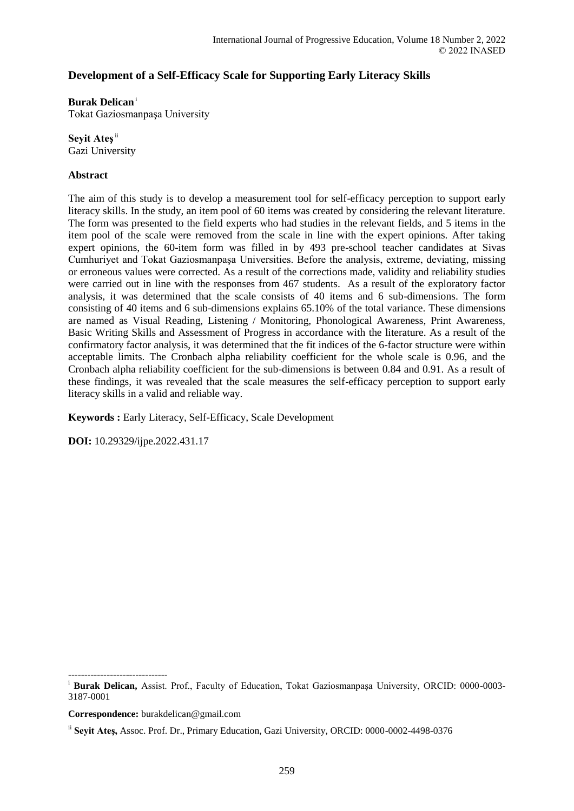## **Development of a Self-Efficacy Scale for Supporting Early Literacy Skills**

## **Burak Delican**<sup>i</sup>

Tokat Gaziosmanpaşa University

**Seyit Ateş**ii Gazi University

## **Abstract**

The aim of this study is to develop a measurement tool for self-efficacy perception to support early literacy skills. In the study, an item pool of 60 items was created by considering the relevant literature. The form was presented to the field experts who had studies in the relevant fields, and 5 items in the item pool of the scale were removed from the scale in line with the expert opinions. After taking expert opinions, the 60-item form was filled in by 493 pre-school teacher candidates at Sivas Cumhuriyet and Tokat Gaziosmanpaşa Universities. Before the analysis, extreme, deviating, missing or erroneous values were corrected. As a result of the corrections made, validity and reliability studies were carried out in line with the responses from 467 students. As a result of the exploratory factor analysis, it was determined that the scale consists of 40 items and 6 sub-dimensions. The form consisting of 40 items and 6 sub-dimensions explains 65.10% of the total variance. These dimensions are named as Visual Reading, Listening / Monitoring, Phonological Awareness, Print Awareness, Basic Writing Skills and Assessment of Progress in accordance with the literature. As a result of the confirmatory factor analysis, it was determined that the fit indices of the 6-factor structure were within acceptable limits. The Cronbach alpha reliability coefficient for the whole scale is 0.96, and the Cronbach alpha reliability coefficient for the sub-dimensions is between 0.84 and 0.91. As a result of these findings, it was revealed that the scale measures the self-efficacy perception to support early literacy skills in a valid and reliable way.

**Keywords :** Early Literacy, Self-Efficacy, Scale Development

**DOI:** 10.29329/ijpe.2022.431.17

-------------------------------

<sup>&</sup>lt;sup>i</sup> Burak Delican, Assist. Prof., Faculty of Education, Tokat Gaziosmanpaşa University, ORCID: 0000-0003-3187-0001

**Correspondence:** burakdelican@gmail.com

ii **Seyit Ateş,** Assoc. Prof. Dr., Primary Education, Gazi University, ORCID: 0000-0002-4498-0376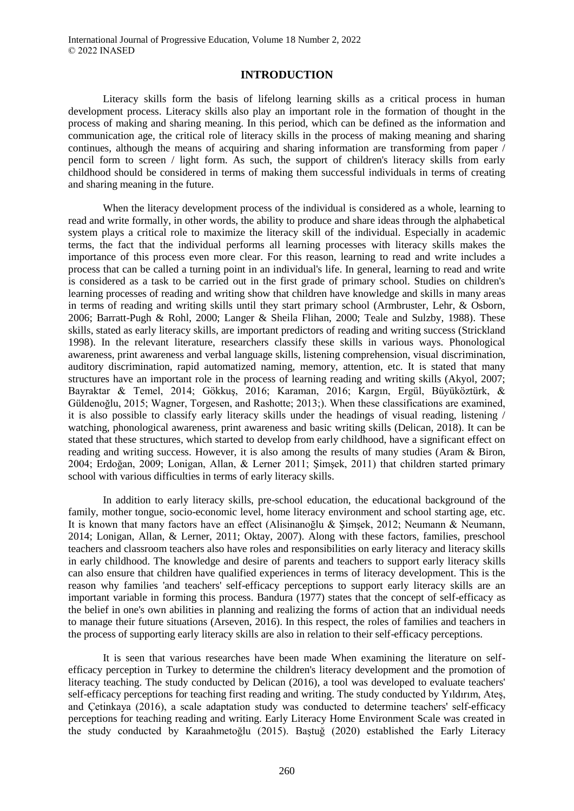## **INTRODUCTION**

Literacy skills form the basis of lifelong learning skills as a critical process in human development process. Literacy skills also play an important role in the formation of thought in the process of making and sharing meaning. In this period, which can be defined as the information and communication age, the critical role of literacy skills in the process of making meaning and sharing continues, although the means of acquiring and sharing information are transforming from paper / pencil form to screen / light form. As such, the support of children's literacy skills from early childhood should be considered in terms of making them successful individuals in terms of creating and sharing meaning in the future.

When the literacy development process of the individual is considered as a whole, learning to read and write formally, in other words, the ability to produce and share ideas through the alphabetical system plays a critical role to maximize the literacy skill of the individual. Especially in academic terms, the fact that the individual performs all learning processes with literacy skills makes the importance of this process even more clear. For this reason, learning to read and write includes a process that can be called a turning point in an individual's life. In general, learning to read and write is considered as a task to be carried out in the first grade of primary school. Studies on children's learning processes of reading and writing show that children have knowledge and skills in many areas in terms of reading and writing skills until they start primary school (Armbruster, Lehr, & Osborn, 2006; Barratt-Pugh & Rohl, 2000; Langer & Sheila Flihan, 2000; Teale and Sulzby, 1988). These skills, stated as early literacy skills, are important predictors of reading and writing success (Strickland 1998). In the relevant literature, researchers classify these skills in various ways. Phonological awareness, print awareness and verbal language skills, listening comprehension, visual discrimination, auditory discrimination, rapid automatized naming, memory, attention, etc. It is stated that many structures have an important role in the process of learning reading and writing skills (Akyol, 2007; Bayraktar & Temel, 2014; Gökkuş, 2016; Karaman, 2016; Kargın, Ergül, Büyüköztürk, & Güldenoğlu, 2015; Wagner, Torgesen, and Rashotte; 2013;). When these classifications are examined, it is also possible to classify early literacy skills under the headings of visual reading, listening / watching, phonological awareness, print awareness and basic writing skills (Delican, 2018). It can be stated that these structures, which started to develop from early childhood, have a significant effect on reading and writing success. However, it is also among the results of many studies (Aram & Biron, 2004; Erdoğan, 2009; Lonigan, Allan, & Lerner 2011; Şimşek, 2011) that children started primary school with various difficulties in terms of early literacy skills.

In addition to early literacy skills, pre-school education, the educational background of the family, mother tongue, socio-economic level, home literacy environment and school starting age, etc. It is known that many factors have an effect (Alisinanoğlu & Şimşek, 2012; Neumann & Neumann, 2014; Lonigan, Allan, & Lerner, 2011; Oktay, 2007). Along with these factors, families, preschool teachers and classroom teachers also have roles and responsibilities on early literacy and literacy skills in early childhood. The knowledge and desire of parents and teachers to support early literacy skills can also ensure that children have qualified experiences in terms of literacy development. This is the reason why families 'and teachers' self-efficacy perceptions to support early literacy skills are an important variable in forming this process. Bandura (1977) states that the concept of self-efficacy as the belief in one's own abilities in planning and realizing the forms of action that an individual needs to manage their future situations (Arseven, 2016). In this respect, the roles of families and teachers in the process of supporting early literacy skills are also in relation to their self-efficacy perceptions.

It is seen that various researches have been made When examining the literature on selfefficacy perception in Turkey to determine the children's literacy development and the promotion of literacy teaching. The study conducted by Delican (2016), a tool was developed to evaluate teachers' self-efficacy perceptions for teaching first reading and writing. The study conducted by Yıldırım, Ateş, and Çetinkaya (2016), a scale adaptation study was conducted to determine teachers' self-efficacy perceptions for teaching reading and writing. Early Literacy Home Environment Scale was created in the study conducted by Karaahmetoğlu (2015). Baştuğ (2020) established the Early Literacy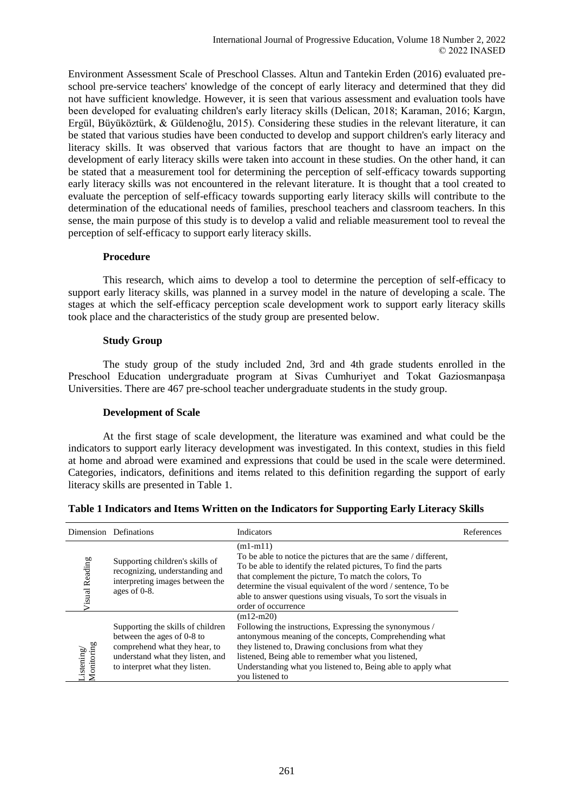Environment Assessment Scale of Preschool Classes. Altun and Tantekin Erden (2016) evaluated preschool pre-service teachers' knowledge of the concept of early literacy and determined that they did not have sufficient knowledge. However, it is seen that various assessment and evaluation tools have been developed for evaluating children's early literacy skills (Delican, 2018; Karaman, 2016; Kargın, Ergül, Büyüköztürk, & Güldenoğlu, 2015). Considering these studies in the relevant literature, it can be stated that various studies have been conducted to develop and support children's early literacy and literacy skills. It was observed that various factors that are thought to have an impact on the development of early literacy skills were taken into account in these studies. On the other hand, it can be stated that a measurement tool for determining the perception of self-efficacy towards supporting early literacy skills was not encountered in the relevant literature. It is thought that a tool created to evaluate the perception of self-efficacy towards supporting early literacy skills will contribute to the determination of the educational needs of families, preschool teachers and classroom teachers. In this sense, the main purpose of this study is to develop a valid and reliable measurement tool to reveal the perception of self-efficacy to support early literacy skills.

## **Procedure**

This research, which aims to develop a tool to determine the perception of self-efficacy to support early literacy skills, was planned in a survey model in the nature of developing a scale. The stages at which the self-efficacy perception scale development work to support early literacy skills took place and the characteristics of the study group are presented below.

## **Study Group**

The study group of the study included 2nd, 3rd and 4th grade students enrolled in the Preschool Education undergraduate program at Sivas Cumhuriyet and Tokat Gaziosmanpaşa Universities. There are 467 pre-school teacher undergraduate students in the study group.

## **Development of Scale**

At the first stage of scale development, the literature was examined and what could be the indicators to support early literacy development was investigated. In this context, studies in this field at home and abroad were examined and expressions that could be used in the scale were determined. Categories, indicators, definitions and items related to this definition regarding the support of early literacy skills are presented in Table 1.

|                         | Dimension Definations                                                                                                                                                  | <b>Indicators</b>                                                                                                                                                                                                                                                                                                                                                  | References |
|-------------------------|------------------------------------------------------------------------------------------------------------------------------------------------------------------------|--------------------------------------------------------------------------------------------------------------------------------------------------------------------------------------------------------------------------------------------------------------------------------------------------------------------------------------------------------------------|------------|
| <b>isual Reading</b>    | Supporting children's skills of<br>recognizing, understanding and<br>interpreting images between the<br>ages of 0-8.                                                   | $(m1-m11)$<br>To be able to notice the pictures that are the same / different,<br>To be able to identify the related pictures, To find the parts<br>that complement the picture, To match the colors, To<br>determine the visual equivalent of the word / sentence, To be<br>able to answer questions using visuals, To sort the visuals in<br>order of occurrence |            |
| Monitoring<br>istening/ | Supporting the skills of children<br>between the ages of 0-8 to<br>comprehend what they hear, to<br>understand what they listen, and<br>to interpret what they listen. | $(m12-m20)$<br>Following the instructions, Expressing the synonymous /<br>antonymous meaning of the concepts, Comprehending what<br>they listened to, Drawing conclusions from what they<br>listened, Being able to remember what you listened,<br>Understanding what you listened to, Being able to apply what<br>you listened to                                 |            |

| Table 1 Indicators and Items Written on the Indicators for Supporting Early Literacy Skills |  |  |  |
|---------------------------------------------------------------------------------------------|--|--|--|
|---------------------------------------------------------------------------------------------|--|--|--|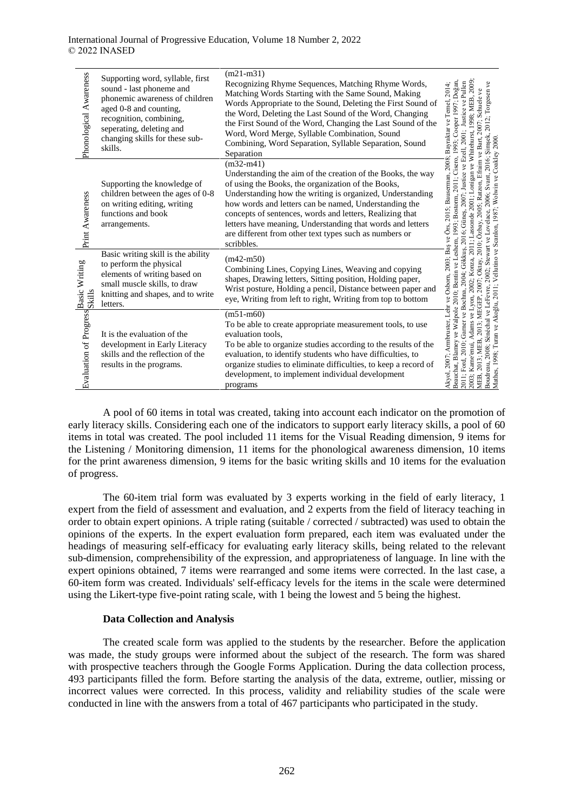| Phonological Awareness         | Supporting word, syllable, first<br>sound - last phoneme and<br>phonemic awareness of children<br>aged 0-8 and counting,<br>recognition, combining,<br>seperating, deleting and<br>changing skills for these sub-<br>skills. | $(m21-m31)$<br>Recognizing Rhyme Sequences, Matching Rhyme Words,<br>Matching Words Starting with the Same Sound, Making<br>Words Appropriate to the Sound, Deleting the First Sound of<br>the Word, Deleting the Last Sound of the Word, Changing<br>the First Sound of the Word, Changing the Last Sound of the<br>Word, Word Merge, Syllable Combination, Sound<br>Combining, Word Separation, Syllable Separation, Sound<br>Separation               | Cisero, 1993; Cooper 1997; Doğan<br>Justice ve Pullen<br><b>2009</b><br>2012; Torgesen ve<br>2008; Bayraktar ve Temel, 2014;<br>Schuele ve<br>998; MEB,<br>$\exists$ zell. 2001:<br>ve Bart.                                                                                                                                  |
|--------------------------------|------------------------------------------------------------------------------------------------------------------------------------------------------------------------------------------------------------------------------|----------------------------------------------------------------------------------------------------------------------------------------------------------------------------------------------------------------------------------------------------------------------------------------------------------------------------------------------------------------------------------------------------------------------------------------------------------|-------------------------------------------------------------------------------------------------------------------------------------------------------------------------------------------------------------------------------------------------------------------------------------------------------------------------------|
| Print Awareness                | Supporting the knowledge of<br>children between the ages of 0-8<br>on writing editing, writing<br>functions and book<br>arrangements.                                                                                        | $(m32-m41)$<br>Understanding the aim of the creation of the Books, the way<br>of using the Books, the organization of the Books,<br>Understanding how the writing is organized, Understanding<br>how words and letters can be named, Understanding the<br>concepts of sentences, words and letters, Realizing that<br>letters have meaning, Understanding that words and letters<br>are different from other text types such as numbers or<br>scribbles. | Svant, 2016; Şimşek,<br>Boudreau, 2008; Sénéchal ve LeFevre, 2002; Stewart ve Lovelace, 2006; Svant, 2016; Şimşek<br>Mathes, 1998; Turan ve Akoğlu, 2011; Vellutino ve Scanlon, 1987; Wolwin ve Coakley 2000.<br>Özbay, 2005; Ratzon, Efraim<br>Justice ve<br>ve Örs. 2015: Bauserman.<br>2011:<br>2001:<br>2007<br>6; Güneş, |
| Basic Writing<br><b>Skills</b> | Basic writing skill is the ability<br>to perform the physical<br>elements of writing based on<br>small muscle skills, to draw<br>knitting and shapes, and to write<br>letters.                                               | $(m42-m50)$<br>Combining Lines, Copying Lines, Weaving and copying<br>shapes, Drawing letters, Sitting position, Holding paper,<br>Wrist posture, Holding a pencil, Distance between paper and<br>eye, Writing from left to right, Writing from top to bottom                                                                                                                                                                                            | 2010:<br>2003: Bas<br>: Oktay,<br>2007                                                                                                                                                                                                                                                                                        |
| Evaluation of Progress         | It is the evaluation of the<br>development in Early Literacy<br>skills and the reflection of the<br>results in the programs.                                                                                                 | $(m51-m60)$<br>To be able to create appropriate measurement tools, to use<br>evaluation tools.<br>To be able to organize studies according to the results of the<br>evaluation, to identify students who have difficulties, to<br>organize studies to eliminate difficulties, to keep a record of<br>development, to implement individual development<br>programs                                                                                        | Beauchat, Blamey ve Walpole 2010; Bentin ve Leshem, 1993; Bostorm,<br>Akyol, 2007; Armbruster, Lehr ve Osborn,<br>Garner ve Bochna,<br>2013; MEGEP,<br>2013: MEB.<br>2011; Ford, 2010;<br>Kame'enui<br>MEB,<br>2003;                                                                                                          |

A pool of 60 items in total was created, taking into account each indicator on the promotion of early literacy skills. Considering each one of the indicators to support early literacy skills, a pool of 60 items in total was created. The pool included 11 items for the Visual Reading dimension, 9 items for the Listening / Monitoring dimension, 11 items for the phonological awareness dimension, 10 items for the print awareness dimension, 9 items for the basic writing skills and 10 items for the evaluation of progress.

The 60-item trial form was evaluated by 3 experts working in the field of early literacy, 1 expert from the field of assessment and evaluation, and 2 experts from the field of literacy teaching in order to obtain expert opinions. A triple rating (suitable / corrected / subtracted) was used to obtain the opinions of the experts. In the expert evaluation form prepared, each item was evaluated under the headings of measuring self-efficacy for evaluating early literacy skills, being related to the relevant sub-dimension, comprehensibility of the expression, and appropriateness of language. In line with the expert opinions obtained, 7 items were rearranged and some items were corrected. In the last case, a 60-item form was created. Individuals' self-efficacy levels for the items in the scale were determined using the Likert-type five-point rating scale, with 1 being the lowest and 5 being the highest.

## **Data Collection and Analysis**

The created scale form was applied to the students by the researcher. Before the application was made, the study groups were informed about the subject of the research. The form was shared with prospective teachers through the Google Forms Application. During the data collection process, 493 participants filled the form. Before starting the analysis of the data, extreme, outlier, missing or incorrect values were corrected. In this process, validity and reliability studies of the scale were conducted in line with the answers from a total of 467 participants who participated in the study.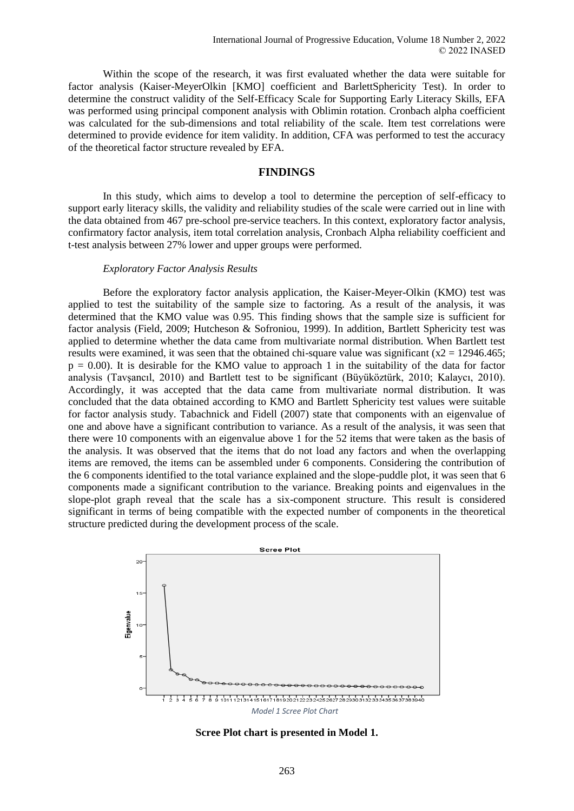Within the scope of the research, it was first evaluated whether the data were suitable for factor analysis (Kaiser-MeyerOlkin [KMO] coefficient and BarlettSphericity Test). In order to determine the construct validity of the Self-Efficacy Scale for Supporting Early Literacy Skills, EFA was performed using principal component analysis with Oblimin rotation. Cronbach alpha coefficient was calculated for the sub-dimensions and total reliability of the scale. Item test correlations were determined to provide evidence for item validity. In addition, CFA was performed to test the accuracy of the theoretical factor structure revealed by EFA.

#### **FINDINGS**

In this study, which aims to develop a tool to determine the perception of self-efficacy to support early literacy skills, the validity and reliability studies of the scale were carried out in line with the data obtained from 467 pre-school pre-service teachers. In this context, exploratory factor analysis, confirmatory factor analysis, item total correlation analysis, Cronbach Alpha reliability coefficient and t-test analysis between 27% lower and upper groups were performed.

#### *Exploratory Factor Analysis Results*

Before the exploratory factor analysis application, the Kaiser-Meyer-Olkin (KMO) test was applied to test the suitability of the sample size to factoring. As a result of the analysis, it was determined that the KMO value was 0.95. This finding shows that the sample size is sufficient for factor analysis (Field, 2009; Hutcheson & Sofroniou, 1999). In addition, Bartlett Sphericity test was applied to determine whether the data came from multivariate normal distribution. When Bartlett test results were examined, it was seen that the obtained chi-square value was significant ( $x^2 = 12946.465$ ;  $p = 0.00$ . It is desirable for the KMO value to approach 1 in the suitability of the data for factor analysis (Tavşancıl, 2010) and Bartlett test to be significant (Büyüköztürk, 2010; Kalaycı, 2010). Accordingly, it was accepted that the data came from multivariate normal distribution. It was concluded that the data obtained according to KMO and Bartlett Sphericity test values were suitable for factor analysis study. Tabachnick and Fidell (2007) state that components with an eigenvalue of one and above have a significant contribution to variance. As a result of the analysis, it was seen that there were 10 components with an eigenvalue above 1 for the 52 items that were taken as the basis of the analysis. It was observed that the items that do not load any factors and when the overlapping items are removed, the items can be assembled under 6 components. Considering the contribution of the 6 components identified to the total variance explained and the slope-puddle plot, it was seen that 6 components made a significant contribution to the variance. Breaking points and eigenvalues in the slope-plot graph reveal that the scale has a six-component structure. This result is considered significant in terms of being compatible with the expected number of components in the theoretical structure predicted during the development process of the scale.



**Scree Plot chart is presented in Model 1.**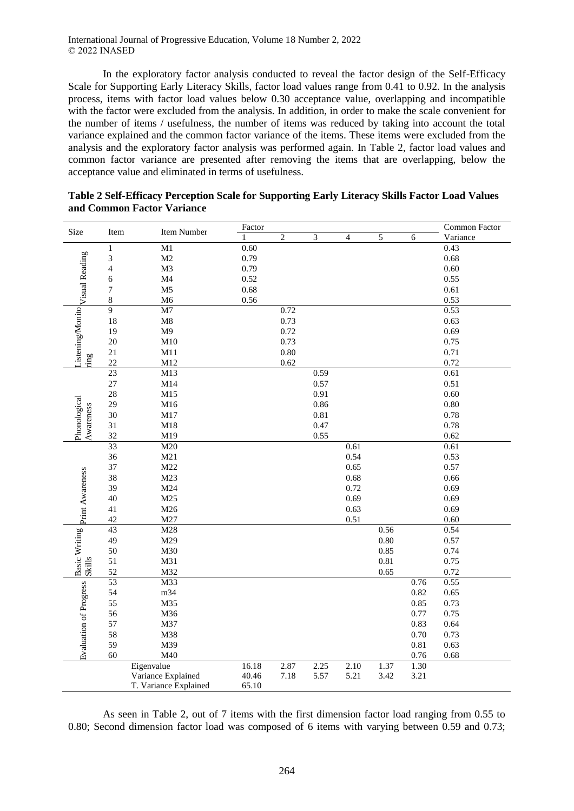In the exploratory factor analysis conducted to reveal the factor design of the Self-Efficacy Scale for Supporting Early Literacy Skills, factor load values range from 0.41 to 0.92. In the analysis process, items with factor load values below 0.30 acceptance value, overlapping and incompatible with the factor were excluded from the analysis. In addition, in order to make the scale convenient for the number of items / usefulness, the number of items was reduced by taking into account the total variance explained and the common factor variance of the items. These items were excluded from the analysis and the exploratory factor analysis was performed again. In Table 2, factor load values and common factor variance are presented after removing the items that are overlapping, below the acceptance value and eliminated in terms of usefulness.

| Size                                    | Item            | Item Number           | Factor |                |            |                |               |      | Common Factor |
|-----------------------------------------|-----------------|-----------------------|--------|----------------|------------|----------------|---------------|------|---------------|
|                                         |                 |                       | 1      | $\overline{c}$ | $\sqrt{3}$ | $\overline{4}$ | $\mathfrak s$ | 6    | Variance      |
|                                         | $\mathbf{1}$    | $\overline{M1}$       | 0.60   |                |            |                |               |      | 0.43          |
|                                         | 3               | M <sub>2</sub>        | 0.79   |                |            |                |               |      | 0.68          |
|                                         | $\overline{4}$  | M3                    | 0.79   |                |            |                |               |      | 0.60          |
|                                         | $\sqrt{6}$      | $\mathbf{M}4$         | 0.52   |                |            |                |               |      | 0.55          |
|                                         | 7               | M <sub>5</sub>        | 0.68   |                |            |                |               |      | $0.61\,$      |
|                                         | $\,$ 8 $\,$     | M6                    | 0.56   |                |            |                |               |      | 0.53          |
|                                         | $\overline{9}$  | $\overline{M7}$       |        | 0.72           |            |                |               |      | 0.53          |
|                                         | 18              | $\mathbf{M}8$         |        | 0.73           |            |                |               |      | 0.63          |
| Listening/Monito Visual Reading         | 19              | M9                    |        | 0.72           |            |                |               |      | 0.69          |
|                                         | 20              | M10                   |        | 0.73           |            |                |               |      | 0.75          |
|                                         | 21              | M11                   |        | 0.80           |            |                |               |      | 0.71          |
| ring                                    | 22              | M12                   |        | 0.62           |            |                |               |      | 0.72          |
|                                         | 23              | M13                   |        |                | 0.59       |                |               |      | 0.61          |
|                                         | 27              | M14                   |        |                | 0.57       |                |               |      | 0.51          |
|                                         | 28              | M15                   |        |                | 0.91       |                |               |      | 0.60          |
|                                         | 29              | M16                   |        |                | 0.86       |                |               |      | $0.80\,$      |
| Phonological<br>Awareness               | 30              | M17                   |        |                | 0.81       |                |               |      | 0.78          |
|                                         | 31              | M18                   |        |                | 0.47       |                |               |      | 0.78          |
|                                         | 32              | M19                   |        |                | 0.55       |                |               |      | $0.62\,$      |
|                                         | 33              | M20                   |        |                |            | 0.61           |               |      | 0.61          |
|                                         | 36              | M21                   |        |                |            | 0.54           |               |      | 0.53          |
|                                         | 37              | M22                   |        |                |            | 0.65           |               |      | 0.57          |
|                                         | 38              | M23                   |        |                |            | 0.68           |               |      | 0.66          |
|                                         | 39              | M24                   |        |                |            | 0.72           |               |      | 0.69          |
|                                         | 40              | M25                   |        |                |            | 0.69           |               |      | 0.69          |
|                                         | 41              | M26                   |        |                |            | 0.63           |               |      | 0.69          |
|                                         | 42              | M27                   |        |                |            | 0.51           |               |      | 0.60          |
| Basic Writing print Awareness<br>Skills | 43              | M28                   |        |                |            |                | 0.56          |      | 0.54          |
|                                         | 49              | M29                   |        |                |            |                | 0.80          |      | 0.57          |
|                                         | 50              | M30                   |        |                |            |                | 0.85          |      | 0.74          |
|                                         | 51              | M31                   |        |                |            |                | 0.81          |      | 0.75          |
|                                         | 52              | M32                   |        |                |            |                | 0.65          |      | 0.72          |
|                                         | $\overline{53}$ | $\overline{M33}$      |        |                |            |                |               | 0.76 | 0.55          |
|                                         | 54              | m34                   |        |                |            |                |               | 0.82 | 0.65          |
| Evaluation of Progress                  | 55              | M35                   |        |                |            |                |               | 0.85 | 0.73          |
|                                         | 56              | M36                   |        |                |            |                |               | 0.77 | 0.75          |
|                                         | 57              | M37                   |        |                |            |                |               | 0.83 | 0.64          |
|                                         | 58              | M38                   |        |                |            |                |               | 0.70 | 0.73          |
|                                         | 59              | M39                   |        |                |            |                |               | 0.81 | 0.63          |
|                                         | 60              | M40                   |        |                |            |                |               | 0.76 | 0.68          |
|                                         |                 | Eigenvalue            | 16.18  | 2.87           | 2.25       | 2.10           | 1.37          | 1.30 |               |
|                                         |                 | Variance Explained    | 40.46  | 7.18           | 5.57       | 5.21           | 3.42          | 3.21 |               |
|                                         |                 | T. Variance Explained | 65.10  |                |            |                |               |      |               |

**Table 2 Self-Efficacy Perception Scale for Supporting Early Literacy Skills Factor Load Values and Common Factor Variance**

As seen in Table 2, out of 7 items with the first dimension factor load ranging from 0.55 to 0.80; Second dimension factor load was composed of 6 items with varying between 0.59 and 0.73;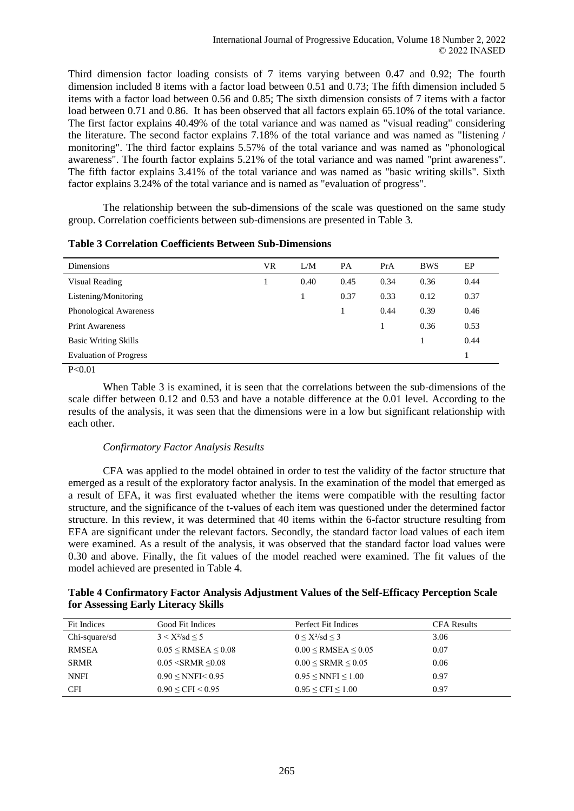Third dimension factor loading consists of 7 items varying between 0.47 and 0.92; The fourth dimension included 8 items with a factor load between 0.51 and 0.73; The fifth dimension included 5 items with a factor load between 0.56 and 0.85; The sixth dimension consists of 7 items with a factor load between 0.71 and 0.86. It has been observed that all factors explain 65.10% of the total variance. The first factor explains 40.49% of the total variance and was named as "visual reading" considering the literature. The second factor explains 7.18% of the total variance and was named as "listening / monitoring". The third factor explains 5.57% of the total variance and was named as "phonological awareness". The fourth factor explains 5.21% of the total variance and was named "print awareness". The fifth factor explains 3.41% of the total variance and was named as "basic writing skills". Sixth factor explains 3.24% of the total variance and is named as "evaluation of progress".

The relationship between the sub-dimensions of the scale was questioned on the same study group. Correlation coefficients between sub-dimensions are presented in Table 3.

| Dimensions                    | VR | L/M  | <b>PA</b> | PrA  | <b>BWS</b> | EP   |
|-------------------------------|----|------|-----------|------|------------|------|
| Visual Reading                |    | 0.40 | 0.45      | 0.34 | 0.36       | 0.44 |
| Listening/Monitoring          |    |      | 0.37      | 0.33 | 0.12       | 0.37 |
| Phonological Awareness        |    |      |           | 0.44 | 0.39       | 0.46 |
| <b>Print Awareness</b>        |    |      |           |      | 0.36       | 0.53 |
| <b>Basic Writing Skills</b>   |    |      |           |      |            | 0.44 |
| <b>Evaluation of Progress</b> |    |      |           |      |            |      |

| <b>Table 3 Correlation Coefficients Between Sub-Dimensions</b> |
|----------------------------------------------------------------|
|----------------------------------------------------------------|

 $P < 0.01$ 

When Table 3 is examined, it is seen that the correlations between the sub-dimensions of the scale differ between 0.12 and 0.53 and have a notable difference at the 0.01 level. According to the results of the analysis, it was seen that the dimensions were in a low but significant relationship with each other.

## *Confirmatory Factor Analysis Results*

CFA was applied to the model obtained in order to test the validity of the factor structure that emerged as a result of the exploratory factor analysis. In the examination of the model that emerged as a result of EFA, it was first evaluated whether the items were compatible with the resulting factor structure, and the significance of the t-values of each item was questioned under the determined factor structure. In this review, it was determined that 40 items within the 6-factor structure resulting from EFA are significant under the relevant factors. Secondly, the standard factor load values of each item were examined. As a result of the analysis, it was observed that the standard factor load values were 0.30 and above. Finally, the fit values of the model reached were examined. The fit values of the model achieved are presented in Table 4.

**Table 4 Confirmatory Factor Analysis Adjustment Values of the Self-Efficacy Perception Scale for Assessing Early Literacy Skills**

| Fit Indices   | Good Fit Indices              | Perfect Fit Indices           | <b>CFA Results</b> |
|---------------|-------------------------------|-------------------------------|--------------------|
| Chi-square/sd | $3 < X^2/\text{sd} < 5$       | $0 \le X^2/\text{sd} \le 3$   | 3.06               |
| <b>RMSEA</b>  | $0.05 \leq$ RMSEA $\leq 0.08$ | $0.00 \leq$ RMSEA $\leq 0.05$ | 0.07               |
| <b>SRMR</b>   | $0.05 <$ SRMR $\leq 0.08$     | $0.00 \leq$ SRMR $\leq 0.05$  | 0.06               |
| <b>NNFI</b>   | $0.90 \leq NNF < 0.95$        | $0.95 \leq NNFI \leq 1.00$    | 0.97               |
| <b>CFI</b>    | $0.90 \leq CFI \leq 0.95$     | $0.95 \leq CFI \leq 1.00$     | 0.97               |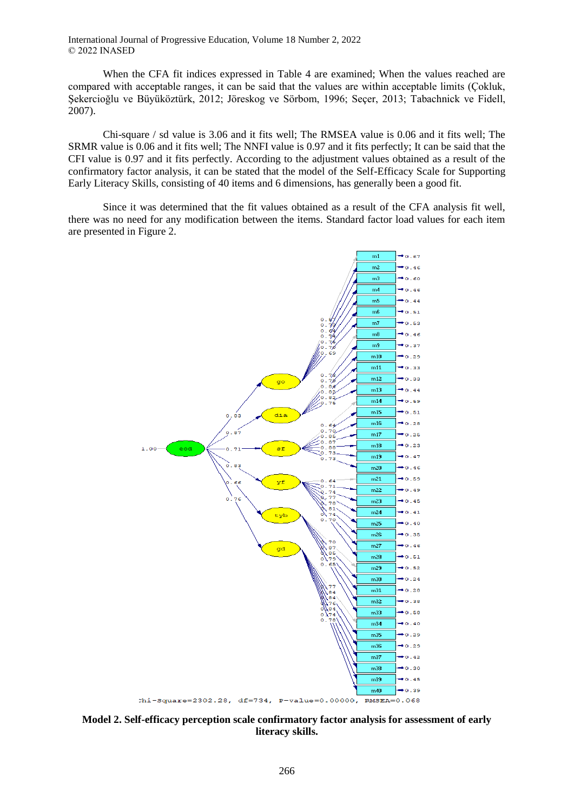When the CFA fit indices expressed in Table 4 are examined; When the values reached are compared with acceptable ranges, it can be said that the values are within acceptable limits (Çokluk, Şekercioğlu ve Büyüköztürk, 2012; Jöreskog ve Sörbom, 1996; Seçer, 2013; Tabachnick ve Fidell, 2007).

Chi-square / sd value is 3.06 and it fits well; The RMSEA value is 0.06 and it fits well; The SRMR value is 0.06 and it fits well; The NNFI value is 0.97 and it fits perfectly; It can be said that the CFI value is 0.97 and it fits perfectly. According to the adjustment values obtained as a result of the confirmatory factor analysis, it can be stated that the model of the Self-Efficacy Scale for Supporting Early Literacy Skills, consisting of 40 items and 6 dimensions, has generally been a good fit.

Since it was determined that the fit values obtained as a result of the CFA analysis fit well, there was no need for any modification between the items. Standard factor load values for each item are presented in Figure 2.



**Model 2. Self-efficacy perception scale confirmatory factor analysis for assessment of early literacy skills.**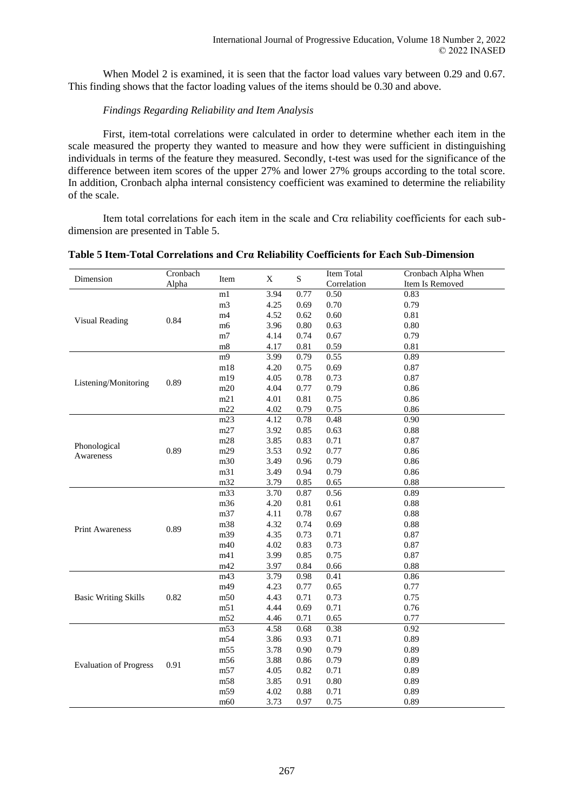When Model 2 is examined, it is seen that the factor load values vary between 0.29 and 0.67. This finding shows that the factor loading values of the items should be 0.30 and above.

## *Findings Regarding Reliability and Item Analysis*

First, item-total correlations were calculated in order to determine whether each item in the scale measured the property they wanted to measure and how they were sufficient in distinguishing individuals in terms of the feature they measured. Secondly, t-test was used for the significance of the difference between item scores of the upper 27% and lower 27% groups according to the total score. In addition, Cronbach alpha internal consistency coefficient was examined to determine the reliability of the scale.

Item total correlations for each item in the scale and Crα reliability coefficients for each subdimension are presented in Table 5.

| Dimension                     | Cronbach | Item            | $\mathbf X$ | ${\bf S}$ | Item Total  | Cronbach Alpha When |
|-------------------------------|----------|-----------------|-------------|-----------|-------------|---------------------|
|                               | Alpha    |                 |             |           | Correlation | Item Is Removed     |
|                               |          | $\overline{ml}$ | 3.94        | 0.77      | 0.50        | 0.83                |
|                               |          | m <sub>3</sub>  | 4.25        | 0.69      | 0.70        | 0.79                |
| <b>Visual Reading</b>         | 0.84     | m4              | 4.52        | 0.62      | 0.60        | 0.81                |
|                               |          | m6              | 3.96        | $0.80\,$  | 0.63        | 0.80                |
|                               |          | m7              | 4.14        | 0.74      | 0.67        | 0.79                |
|                               |          | m8              | 4.17        | 0.81      | 0.59        | 0.81                |
|                               |          | m9              | 3.99        | 0.79      | 0.55        | 0.89                |
|                               |          | m18             | 4.20        | 0.75      | 0.69        | 0.87                |
| Listening/Monitoring          | 0.89     | m19             | 4.05        | 0.78      | 0.73        | 0.87                |
|                               |          | m20             | 4.04        | 0.77      | 0.79        | 0.86                |
|                               |          | m21             | 4.01        | 0.81      | 0.75        | 0.86                |
|                               |          | m22             | 4.02        | 0.79      | 0.75        | 0.86                |
|                               |          | m23             | 4.12        | 0.78      | 0.48        | 0.90                |
|                               |          | m27             | 3.92        | 0.85      | 0.63        | 0.88                |
|                               |          | m28             | 3.85        | 0.83      | 0.71        | 0.87                |
| Phonological<br>Awareness     | 0.89     | m29             | 3.53        | 0.92      | 0.77        | 0.86                |
|                               |          | m30             | 3.49        | 0.96      | 0.79        | 0.86                |
|                               |          | m31             | 3.49        | 0.94      | 0.79        | 0.86                |
|                               |          | m32             | 3.79        | 0.85      | 0.65        | 0.88                |
|                               |          | m33             | 3.70        | 0.87      | 0.56        | 0.89                |
|                               |          | m36             | 4.20        | $0.81\,$  | 0.61        | 0.88                |
|                               |          | m37             | 4.11        | 0.78      | 0.67        | 0.88                |
|                               |          | m38             | 4.32        | 0.74      | 0.69        | 0.88                |
|                               | 0.89     | m39             | 4.35        | 0.73      | 0.71        | 0.87                |
| <b>Print Awareness</b>        |          | m40             | 4.02        | 0.83      | 0.73        | 0.87                |
|                               |          | m41             | 3.99        | 0.85      | 0.75        | 0.87                |
|                               |          | m42             | 3.97        | 0.84      | 0.66        | 0.88                |
|                               |          | m43             | 3.79        | 0.98      | 0.41        | 0.86                |
|                               |          | m49             | 4.23        | 0.77      | 0.65        | 0.77                |
| <b>Basic Writing Skills</b>   | 0.82     | m50             | 4.43        | 0.71      | 0.73        | 0.75                |
|                               |          | m51             | 4.44        | 0.69      | 0.71        | 0.76                |
|                               |          | m52             | 4.46        | 0.71      | 0.65        | 0.77                |
|                               |          | m53             | 4.58        | 0.68      | 0.38        | 0.92                |
|                               |          | m54             | 3.86        | 0.93      | 0.71        | 0.89                |
|                               |          | m55             | 3.78        | 0.90      | 0.79        | 0.89                |
|                               |          | m56             | 3.88        | 0.86      | 0.79        | 0.89                |
| <b>Evaluation of Progress</b> | 0.91     | m57             | 4.05        | 0.82      | 0.71        | 0.89                |
|                               |          | m58             | 3.85        | 0.91      | 0.80        | 0.89                |
|                               |          | m59             | 4.02        | 0.88      | 0.71        | 0.89                |
|                               |          |                 |             |           |             |                     |
|                               |          | m60             | 3.73        | 0.97      | 0.75        | 0.89                |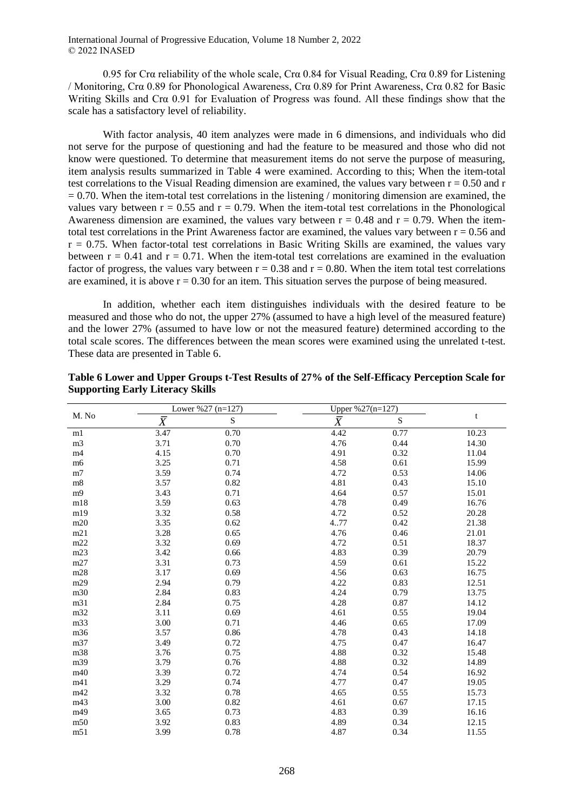0.95 for Crα reliability of the whole scale, Crα 0.84 for Visual Reading, Crα 0.89 for Listening / Monitoring, Crα 0.89 for Phonological Awareness, Crα 0.89 for Print Awareness, Crα 0.82 for Basic Writing Skills and Crα 0.91 for Evaluation of Progress was found. All these findings show that the scale has a satisfactory level of reliability.

With factor analysis, 40 item analyzes were made in 6 dimensions, and individuals who did not serve for the purpose of questioning and had the feature to be measured and those who did not know were questioned. To determine that measurement items do not serve the purpose of measuring, item analysis results summarized in Table 4 were examined. According to this; When the item-total test correlations to the Visual Reading dimension are examined, the values vary between  $r = 0.50$  and r  $= 0.70$ . When the item-total test correlations in the listening / monitoring dimension are examined, the values vary between  $r = 0.55$  and  $r = 0.79$ . When the item-total test correlations in the Phonological Awareness dimension are examined, the values vary between  $r = 0.48$  and  $r = 0.79$ . When the itemtotal test correlations in the Print Awareness factor are examined, the values vary between  $r = 0.56$  and  $r = 0.75$ . When factor-total test correlations in Basic Writing Skills are examined, the values vary between  $r = 0.41$  and  $r = 0.71$ . When the item-total test correlations are examined in the evaluation factor of progress, the values vary between  $r = 0.38$  and  $r = 0.80$ . When the item total test correlations are examined, it is above  $r = 0.30$  for an item. This situation serves the purpose of being measured.

In addition, whether each item distinguishes individuals with the desired feature to be measured and those who do not, the upper 27% (assumed to have a high level of the measured feature) and the lower 27% (assumed to have low or not the measured feature) determined according to the total scale scores. The differences between the mean scores were examined using the unrelated t-test. These data are presented in Table 6.

| M. No          |                | Lower %27 $(n=127)$ | Upper $%27(n=127)$ |      |       |
|----------------|----------------|---------------------|--------------------|------|-------|
|                | $\overline{X}$ | ${\bf S}$           | $\bar{X}$          | S    | t     |
| m1             | 3.47           | 0.70                | 4.42               | 0.77 | 10.23 |
| m <sub>3</sub> | 3.71           | 0.70                | 4.76               | 0.44 | 14.30 |
| m4             | 4.15           | 0.70                | 4.91               | 0.32 | 11.04 |
| m <sub>6</sub> | 3.25           | 0.71                | 4.58               | 0.61 | 15.99 |
| m <sub>7</sub> | 3.59           | 0.74                | 4.72               | 0.53 | 14.06 |
| m8             | 3.57           | 0.82                | 4.81               | 0.43 | 15.10 |
| m <sub>9</sub> | 3.43           | 0.71                | 4.64               | 0.57 | 15.01 |
| m18            | 3.59           | 0.63                | 4.78               | 0.49 | 16.76 |
| m19            | 3.32           | 0.58                | 4.72               | 0.52 | 20.28 |
| m20            | 3.35           | 0.62                | 477                | 0.42 | 21.38 |
| m21            | 3.28           | 0.65                | 4.76               | 0.46 | 21.01 |
| m22            | 3.32           | 0.69                | 4.72               | 0.51 | 18.37 |
| m23            | 3.42           | 0.66                | 4.83               | 0.39 | 20.79 |
| m27            | 3.31           | 0.73                | 4.59               | 0.61 | 15.22 |
| m28            | 3.17           | 0.69                | 4.56               | 0.63 | 16.75 |
| m29            | 2.94           | 0.79                | 4.22               | 0.83 | 12.51 |
| m30            | 2.84           | 0.83                | 4.24               | 0.79 | 13.75 |
| m31            | 2.84           | 0.75                | 4.28               | 0.87 | 14.12 |
| m32            | 3.11           | 0.69                | 4.61               | 0.55 | 19.04 |
| m33            | 3.00           | 0.71                | 4.46               | 0.65 | 17.09 |
| m36            | 3.57           | 0.86                | 4.78               | 0.43 | 14.18 |
| m37            | 3.49           | 0.72                | 4.75               | 0.47 | 16.47 |
| m38            | 3.76           | 0.75                | 4.88               | 0.32 | 15.48 |
| m39            | 3.79           | 0.76                | 4.88               | 0.32 | 14.89 |
| m40            | 3.39           | 0.72                | 4.74               | 0.54 | 16.92 |
| m41            | 3.29           | 0.74                | 4.77               | 0.47 | 19.05 |
| m42            | 3.32           | 0.78                | 4.65               | 0.55 | 15.73 |
| m43            | 3.00           | 0.82                | 4.61               | 0.67 | 17.15 |
| m49            | 3.65           | 0.73                | 4.83               | 0.39 | 16.16 |
| m50            | 3.92           | 0.83                | 4.89               | 0.34 | 12.15 |
| m51            | 3.99           | 0.78                | 4.87               | 0.34 | 11.55 |

| Table 6 Lower and Upper Groups t-Test Results of 27% of the Self-Efficacy Perception Scale for |  |  |
|------------------------------------------------------------------------------------------------|--|--|
| <b>Supporting Early Literacy Skills</b>                                                        |  |  |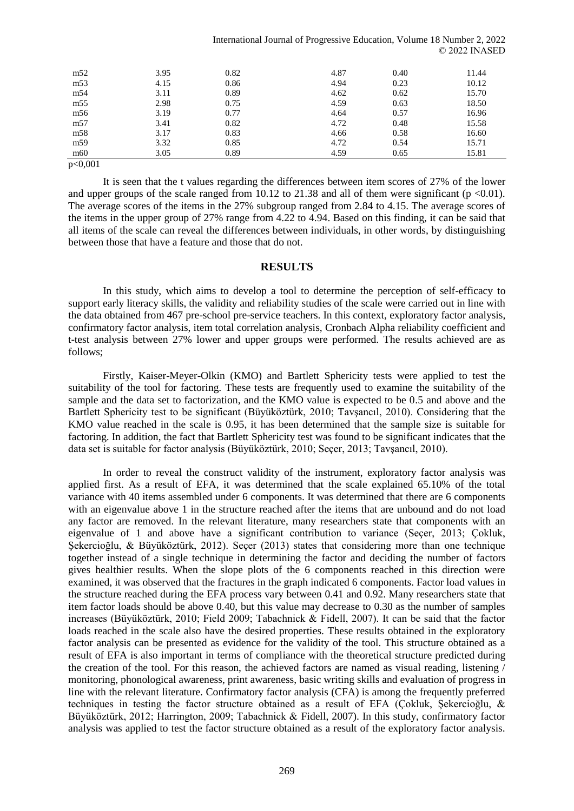| m <sub>52</sub> | 3.95 | 0.82 | 4.87 | 0.40 | 11.44 |
|-----------------|------|------|------|------|-------|
| m53             | 4.15 | 0.86 | 4.94 | 0.23 | 10.12 |
| m <sub>54</sub> | 3.11 | 0.89 | 4.62 | 0.62 | 15.70 |
| m55             | 2.98 | 0.75 | 4.59 | 0.63 | 18.50 |
| m <sub>56</sub> | 3.19 | 0.77 | 4.64 | 0.57 | 16.96 |
| m57             | 3.41 | 0.82 | 4.72 | 0.48 | 15.58 |
| m <sub>58</sub> | 3.17 | 0.83 | 4.66 | 0.58 | 16.60 |
| m <sub>59</sub> | 3.32 | 0.85 | 4.72 | 0.54 | 15.71 |
| m <sub>60</sub> | 3.05 | 0.89 | 4.59 | 0.65 | 15.81 |
| 0.001           |      |      |      |      |       |

p<0,001

It is seen that the t values regarding the differences between item scores of 27% of the lower and upper groups of the scale ranged from 10.12 to 21.38 and all of them were significant ( $p < 0.01$ ). The average scores of the items in the 27% subgroup ranged from 2.84 to 4.15. The average scores of the items in the upper group of 27% range from 4.22 to 4.94. Based on this finding, it can be said that all items of the scale can reveal the differences between individuals, in other words, by distinguishing between those that have a feature and those that do not.

#### **RESULTS**

In this study, which aims to develop a tool to determine the perception of self-efficacy to support early literacy skills, the validity and reliability studies of the scale were carried out in line with the data obtained from 467 pre-school pre-service teachers. In this context, exploratory factor analysis, confirmatory factor analysis, item total correlation analysis, Cronbach Alpha reliability coefficient and t-test analysis between 27% lower and upper groups were performed. The results achieved are as follows;

Firstly, Kaiser-Meyer-Olkin (KMO) and Bartlett Sphericity tests were applied to test the suitability of the tool for factoring. These tests are frequently used to examine the suitability of the sample and the data set to factorization, and the KMO value is expected to be 0.5 and above and the Bartlett Sphericity test to be significant (Büyüköztürk, 2010; Tavşancıl, 2010). Considering that the KMO value reached in the scale is 0.95, it has been determined that the sample size is suitable for factoring. In addition, the fact that Bartlett Sphericity test was found to be significant indicates that the data set is suitable for factor analysis (Büyüköztürk, 2010; Seçer, 2013; Tavşancıl, 2010).

In order to reveal the construct validity of the instrument, exploratory factor analysis was applied first. As a result of EFA, it was determined that the scale explained 65.10% of the total variance with 40 items assembled under 6 components. It was determined that there are 6 components with an eigenvalue above 1 in the structure reached after the items that are unbound and do not load any factor are removed. In the relevant literature, many researchers state that components with an eigenvalue of 1 and above have a significant contribution to variance (Seçer, 2013; Çokluk, Sekercioğlu, & Büyüköztürk, 2012). Secer (2013) states that considering more than one technique together instead of a single technique in determining the factor and deciding the number of factors gives healthier results. When the slope plots of the 6 components reached in this direction were examined, it was observed that the fractures in the graph indicated 6 components. Factor load values in the structure reached during the EFA process vary between 0.41 and 0.92. Many researchers state that item factor loads should be above 0.40, but this value may decrease to 0.30 as the number of samples increases (Büyüköztürk, 2010; Field 2009; Tabachnick & Fidell, 2007). It can be said that the factor loads reached in the scale also have the desired properties. These results obtained in the exploratory factor analysis can be presented as evidence for the validity of the tool. This structure obtained as a result of EFA is also important in terms of compliance with the theoretical structure predicted during the creation of the tool. For this reason, the achieved factors are named as visual reading, listening / monitoring, phonological awareness, print awareness, basic writing skills and evaluation of progress in line with the relevant literature. Confirmatory factor analysis (CFA) is among the frequently preferred techniques in testing the factor structure obtained as a result of EFA (Çokluk, Şekercioğlu, & Büyüköztürk, 2012; Harrington, 2009; Tabachnick & Fidell, 2007). In this study, confirmatory factor analysis was applied to test the factor structure obtained as a result of the exploratory factor analysis.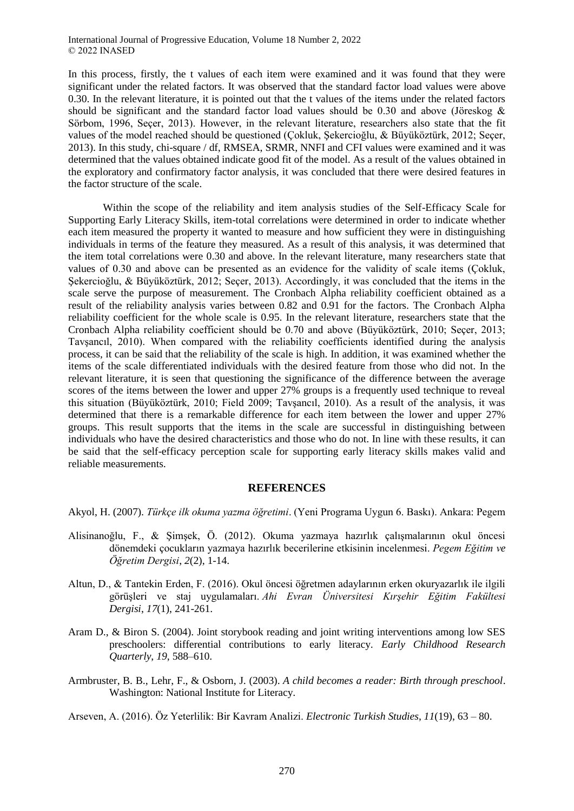In this process, firstly, the t values of each item were examined and it was found that they were significant under the related factors. It was observed that the standard factor load values were above 0.30. In the relevant literature, it is pointed out that the t values of the items under the related factors should be significant and the standard factor load values should be 0.30 and above (Jöreskog & Sörbom, 1996, Seçer, 2013). However, in the relevant literature, researchers also state that the fit values of the model reached should be questioned (Çokluk, Şekercioğlu, & Büyüköztürk, 2012; Seçer, 2013). In this study, chi-square / df, RMSEA, SRMR, NNFI and CFI values were examined and it was determined that the values obtained indicate good fit of the model. As a result of the values obtained in the exploratory and confirmatory factor analysis, it was concluded that there were desired features in the factor structure of the scale.

Within the scope of the reliability and item analysis studies of the Self-Efficacy Scale for Supporting Early Literacy Skills, item-total correlations were determined in order to indicate whether each item measured the property it wanted to measure and how sufficient they were in distinguishing individuals in terms of the feature they measured. As a result of this analysis, it was determined that the item total correlations were 0.30 and above. In the relevant literature, many researchers state that values of 0.30 and above can be presented as an evidence for the validity of scale items (Çokluk, Şekercioğlu, & Büyüköztürk, 2012; Seçer, 2013). Accordingly, it was concluded that the items in the scale serve the purpose of measurement. The Cronbach Alpha reliability coefficient obtained as a result of the reliability analysis varies between 0.82 and 0.91 for the factors. The Cronbach Alpha reliability coefficient for the whole scale is 0.95. In the relevant literature, researchers state that the Cronbach Alpha reliability coefficient should be 0.70 and above (Büyüköztürk, 2010; Seçer, 2013; Tavşancıl, 2010). When compared with the reliability coefficients identified during the analysis process, it can be said that the reliability of the scale is high. In addition, it was examined whether the items of the scale differentiated individuals with the desired feature from those who did not. In the relevant literature, it is seen that questioning the significance of the difference between the average scores of the items between the lower and upper 27% groups is a frequently used technique to reveal this situation (Büyüköztürk, 2010; Field 2009; Tavşancıl, 2010). As a result of the analysis, it was determined that there is a remarkable difference for each item between the lower and upper 27% groups. This result supports that the items in the scale are successful in distinguishing between individuals who have the desired characteristics and those who do not. In line with these results, it can be said that the self-efficacy perception scale for supporting early literacy skills makes valid and reliable measurements.

#### **REFERENCES**

Akyol, H. (2007). *Türkçe ilk okuma yazma öğretimi*. (Yeni Programa Uygun 6. Baskı). Ankara: Pegem

- Alisinanoğlu, F., & Şimşek, Ö. (2012). Okuma yazmaya hazırlık çalışmalarının okul öncesi dönemdeki çocukların yazmaya hazırlık becerilerine etkisinin incelenmesi. *Pegem Eğitim ve Öğretim Dergisi*, *2*(2), 1-14.
- Altun, D., & Tantekin Erden, F. (2016). Okul öncesi öğretmen adaylarının erken okuryazarlık ile ilgili görüşleri ve staj uygulamaları. *Ahi Evran Üniversitesi Kırşehir Eğitim Fakültesi Dergisi*, *17*(1), 241-261.
- Aram D., & Biron S. (2004). Joint storybook reading and joint writing interventions among low SES preschoolers: differential contributions to early literacy. *Early Childhood Research Quarterly*, *19*, 588–610.
- Armbruster, B. B., Lehr, F., & Osborn, J. (2003). *A child becomes a reader: Birth through preschool*. Washington: National Institute for Literacy.

Arseven, A. (2016). Öz Yeterlilik: Bir Kavram Analizi. *Electronic Turkish Studies*, *11*(19), 63 – 80.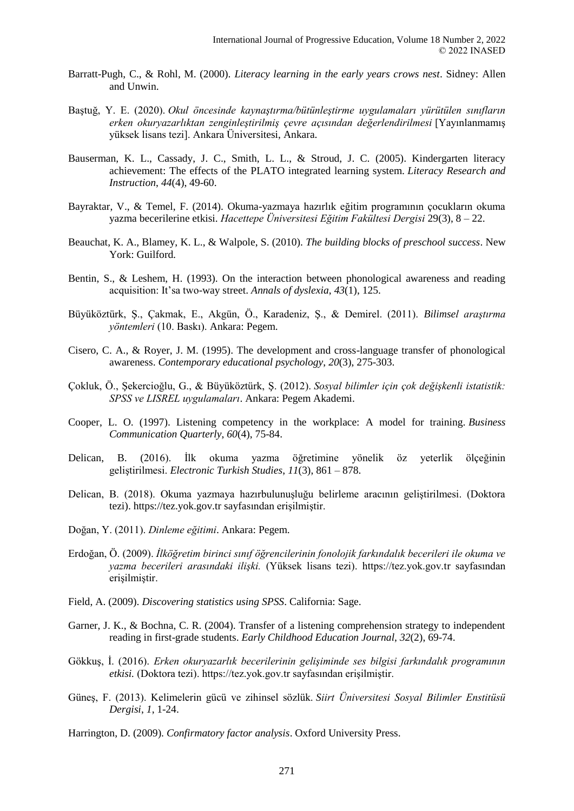- Barratt-Pugh, C., & Rohl, M. (2000). *Literacy learning in the early years crows nest*. Sidney: Allen and Unwin.
- Baştuğ, Y. E. (2020). *Okul öncesinde kaynaştırma/bütünleştirme uygulamaları yürütülen sınıfların erken okuryazarlıktan zenginleştirilmiş çevre açısından değerlendirilmesi* [Yayınlanmamış yüksek lisans tezi]. Ankara Üniversitesi, Ankara.
- Bauserman, K. L., Cassady, J. C., Smith, L. L., & Stroud, J. C. (2005). Kindergarten literacy achievement: The effects of the PLATO integrated learning system. *Literacy Research and Instruction*, *44*(4), 49-60.
- Bayraktar, V., & Temel, F. (2014). Okuma-yazmaya hazırlık eğitim programının çocukların okuma yazma becerilerine etkisi. *Hacettepe Üniversitesi Eğitim Fakültesi Dergisi* 29(3), 8 – 22.
- Beauchat, K. A., Blamey, K. L., & Walpole, S. (2010). *The building blocks of preschool success*. New York: Guilford.
- Bentin, S., & Leshem, H. (1993). On the interaction between phonological awareness and reading acquisition: It'sa two-way street. *Annals of dyslexia*, *43*(1), 125.
- Büyüköztürk, Ş., Çakmak, E., Akgün, Ö., Karadeniz, Ş., & Demirel. (2011). *Bilimsel araştırma yöntemleri* (10. Baskı). Ankara: Pegem.
- Cisero, C. A., & Royer, J. M. (1995). The development and cross-language transfer of phonological awareness. *Contemporary educational psychology*, *20*(3), 275-303.
- Çokluk, Ö., Şekercioğlu, G., & Büyüköztürk, Ş. (2012). *Sosyal bilimler için çok değişkenli istatistik: SPSS ve LISREL uygulamaları*. Ankara: Pegem Akademi.
- Cooper, L. O. (1997). Listening competency in the workplace: A model for training. *Business Communication Quarterly*, *60*(4), 75-84.
- Delican, B. (2016). İlk okuma yazma öğretimine yönelik öz yeterlik ölçeğinin geliştirilmesi. *Electronic Turkish Studies*, *11*(3), 861 – 878.
- Delican, B. (2018). Okuma yazmaya hazırbulunuşluğu belirleme aracının geliştirilmesi. (Doktora tezi). https://tez.yok.gov.tr sayfasından erişilmiştir.
- Doğan, Y. (2011). *Dinleme eğitimi*. Ankara: Pegem.
- Erdoğan, Ö. (2009). *İlköğretim birinci sınıf öğrencilerinin fonolojik farkındalık becerileri ile okuma ve yazma becerileri arasındaki ilişki.* (Yüksek lisans tezi). https://tez.yok.gov.tr sayfasından erişilmiştir.
- Field, A. (2009). *Discovering statistics using SPSS*. California: Sage.
- Garner, J. K., & Bochna, C. R. (2004). Transfer of a listening comprehension strategy to independent reading in first-grade students. *Early Childhood Education Journal*, *32*(2), 69-74.
- Gökkuş, İ. (2016). *Erken okuryazarlık becerilerinin gelişiminde ses bilgisi farkındalık programının etkisi.* (Doktora tezi). https://tez.yok.gov.tr sayfasından erişilmiştir.
- Güneş, F. (2013). Kelimelerin gücü ve zihinsel sözlük. *Siirt Üniversitesi Sosyal Bilimler Enstitüsü Dergisi*, *1*, 1-24.

Harrington, D. (2009). *Confirmatory factor analysis*. Oxford University Press.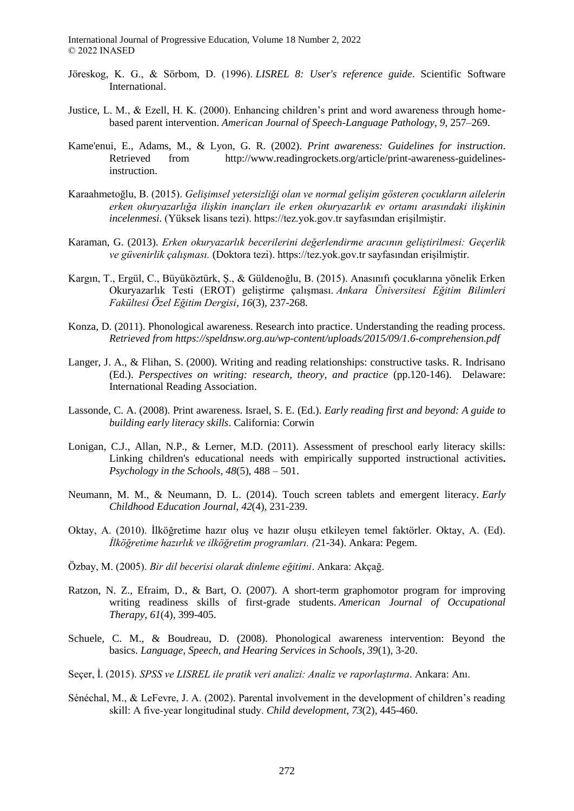- Jöreskog, K. G., & Sörbom, D. (1996). *LISREL 8: User's reference guide*. Scientific Software International.
- Justice, L. M., & Ezell, H. K. (2000). Enhancing children's print and word awareness through homebased parent intervention. *American Journal of Speech-Language Pathology*, *9*, 257–269.
- Kame'enui, E., Adams, M., & Lyon, G. R. (2002). *Print awareness: Guidelines for instruction*. Retrieved from http://www.readingrockets.org/article/print-awareness-guidelinesinstruction.
- Karaahmetoğlu, B. (2015). *Gelişimsel yetersizliği olan ve normal gelişim gösteren çocukların ailelerin erken okuryazarlığa ilişkin inançları ile erken okuryazarlık ev ortamı arasındaki ilişkinin incelenmesi.* (Yüksek lisans tezi). https://tez.yok.gov.tr sayfasından erişilmiştir.
- Karaman, G. (2013). *Erken okuryazarlık becerilerini değerlendirme aracının geliştirilmesi: Geçerlik ve güvenirlik çalışması.* (Doktora tezi). https://tez.yok.gov.tr sayfasından erişilmiştir.
- Kargın, T., Ergül, C., Büyüköztürk, Ş., & Güldenoğlu, B. (2015). Anasınıfı çocuklarına yönelik Erken Okuryazarlık Testi (EROT) geliştirme çalışması. *Ankara Üniversitesi Eğitim Bilimleri Fakültesi Özel Eğitim Dergisi*, *16*(3), 237-268.
- Konza, D. (2011). Phonological awareness. Research into practice. Understanding the reading process. *Retrieved from https://speldnsw.org.au/wp-content/uploads/2015/09/1.6-comprehension.pdf*
- Langer, J. A., & Flihan, S. (2000). Writing and reading relationships: constructive tasks. R. Indrisano (Ed.). *Perspectives on writing: research, theory, and practice* (pp.120-146). Delaware: International Reading Association.
- Lassonde, C. A. (2008). Print awareness. Israel, S. E. (Ed.). *Early reading first and beyond: A guide to building early literacy skills*. California: Corwin
- Lonigan, C.J., Allan, N.P., & Lerner, M.D. (2011). Assessment of preschool early literacy skills: Linking children's educational needs with empirically supported instructional activities**.** *Psychology in the Schools*, *48*(5), 488 – 501.
- Neumann, M. M., & Neumann, D. L. (2014). Touch screen tablets and emergent literacy. *Early Childhood Education Journal*, *42*(4), 231-239.
- Oktay, A. (2010). İlköğretime hazır oluş ve hazır oluşu etkileyen temel faktörler. Oktay, A. (Ed). *İlköğretime hazırlık ve ilköğretim programları. (*21-34). Ankara: Pegem.
- Özbay, M. (2005). *Bir dil becerisi olarak dinleme eğitimi*. Ankara: Akçağ.
- Ratzon, N. Z., Efraim, D., & Bart, O. (2007). A short-term graphomotor program for improving writing readiness skills of first-grade students. *American Journal of Occupational Therapy*, *61*(4), 399-405.
- Schuele, C. M., & Boudreau, D. (2008). Phonological awareness intervention: Beyond the basics. *Language, Speech, and Hearing Services in Schools*, *39*(1), 3-20.
- Seçer, İ. (2015). *SPSS ve LISREL ile pratik veri analizi: Analiz ve raporlaştırma*. Ankara: Anı.
- Sénéchal, M., & LeFevre, J. A. (2002). Parental involvement in the development of children's reading skill: A five‐year longitudinal study. *Child development*, *73*(2), 445-460.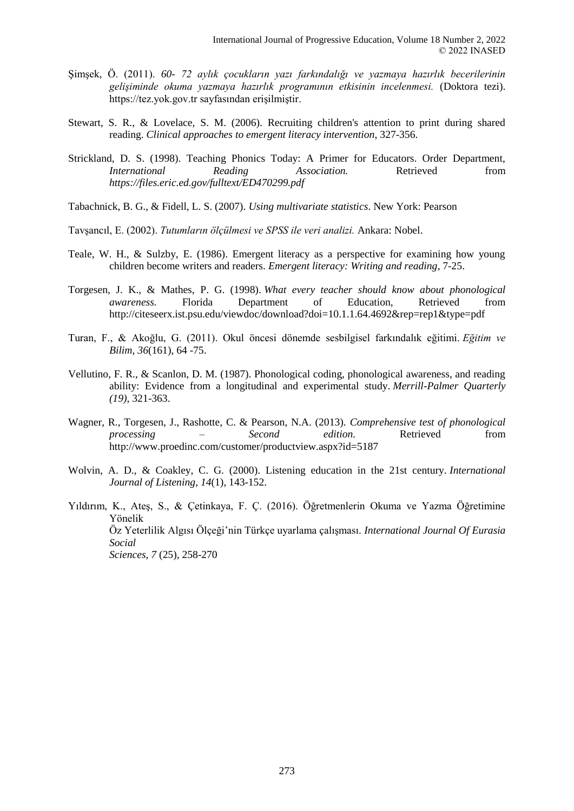- Şimşek, Ö. (2011). *60- 72 aylık çocukların yazı farkındalığı ve yazmaya hazırlık becerilerinin gelişiminde okuma yazmaya hazırlık programının etkisinin incelenmesi.* (Doktora tezi). https://tez.yok.gov.tr sayfasından erişilmiştir.
- Stewart, S. R., & Lovelace, S. M. (2006). Recruiting children's attention to print during shared reading. *Clinical approaches to emergent literacy intervention*, 327-356.
- Strickland, D. S. (1998). Teaching Phonics Today: A Primer for Educators. Order Department, *International Reading Association.* Retrieved from *https://files.eric.ed.gov/fulltext/ED470299.pdf*
- Tabachnick, B. G., & Fidell, L. S. (2007). *Using multivariate statistics*. New York: Pearson
- Tavşancıl, E. (2002). *Tutumların ölçülmesi ve SPSS ile veri analizi.* Ankara: Nobel.
- Teale, W. H., & Sulzby, E. (1986). Emergent literacy as a perspective for examining how young children become writers and readers. *Emergent literacy: Writing and reading*, 7-25.
- Torgesen, J. K., & Mathes, P. G. (1998). *What every teacher should know about phonological awareness.* Florida Department of Education, Retrieved from http://citeseerx.ist.psu.edu/viewdoc/download?doi=10.1.1.64.4692&rep=rep1&type=pdf
- Turan, F., & Akoğlu, G. (2011). Okul öncesi dönemde sesbilgisel farkındalık eğitimi. *Eğitim ve Bilim*, *36*(161), 64 -75.
- Vellutino, F. R., & Scanlon, D. M. (1987). Phonological coding, phonological awareness, and reading ability: Evidence from a longitudinal and experimental study. *Merrill-Palmer Quarterly (19)*, 321-363.
- Wagner, R., Torgesen, J., Rashotte, C. & Pearson, N.A. (2013). *Comprehensive test of phonological processing – Second edition.* Retrieved from http://www.proedinc.com/customer/productview.aspx?id=5187
- Wolvin, A. D., & Coakley, C. G. (2000). Listening education in the 21st century. *International Journal of Listening*, *14*(1), 143-152.
- Yıldırım, K., Ateş, S., & Çetinkaya, F. Ç. (2016). Öğretmenlerin Okuma ve Yazma Öğretimine Yönelik Öz Yeterlilik Algısı Ölçeği'nin Türkçe uyarlama çalışması. *International Journal Of Eurasia Social Sciences, 7* (25), 258-270